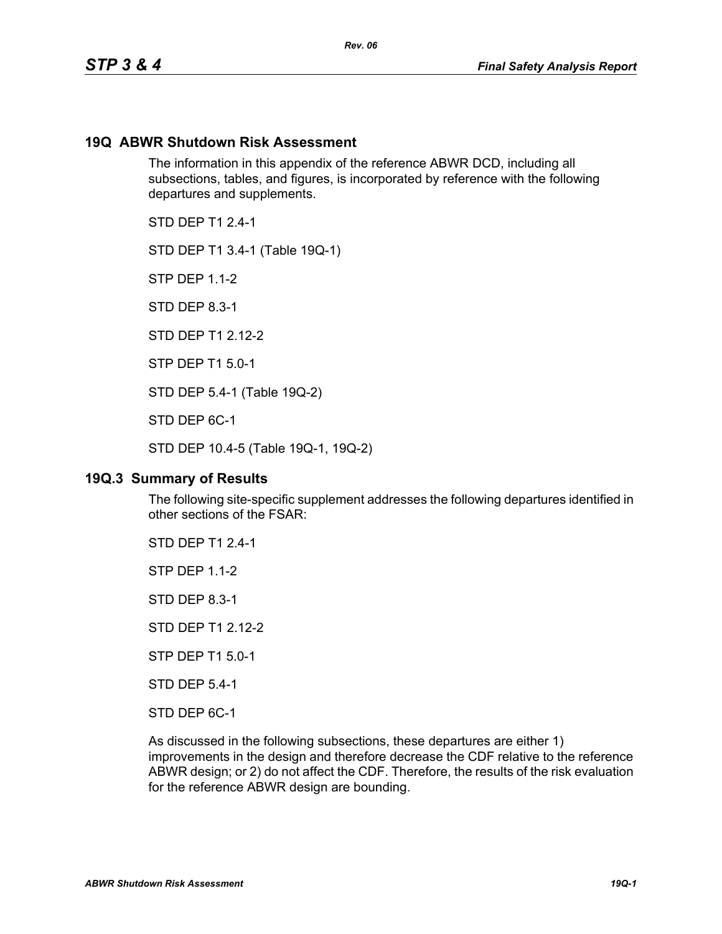#### **19Q ABWR Shutdown Risk Assessment**

The information in this appendix of the reference ABWR DCD, including all subsections, tables, and figures, is incorporated by reference with the following departures and supplements.

STD DFP T1 2 4-1

STD DEP T1 3.4-1 (Table 19Q-1)

STP DEP 1.1-2

STD DEP 8.3-1

STD DFP T1 2 12-2

STP DEP T1 5.0-1

STD DEP 5.4-1 (Table 19Q-2)

STD DEP 6C-1

STD DEP 10.4-5 (Table 19Q-1, 19Q-2)

#### **19Q.3 Summary of Results**

The following site-specific supplement addresses the following departures identified in other sections of the FSAR:

STD DEP T1 2.4-1

STP DEP 1.1-2

STD DEP 8.3-1

STD DEP T1 2.12-2

STP DEP T1 5.0-1

STD DEP 5.4-1

STD DEP 6C-1

As discussed in the following subsections, these departures are either 1) improvements in the design and therefore decrease the CDF relative to the reference ABWR design; or 2) do not affect the CDF. Therefore, the results of the risk evaluation for the reference ABWR design are bounding.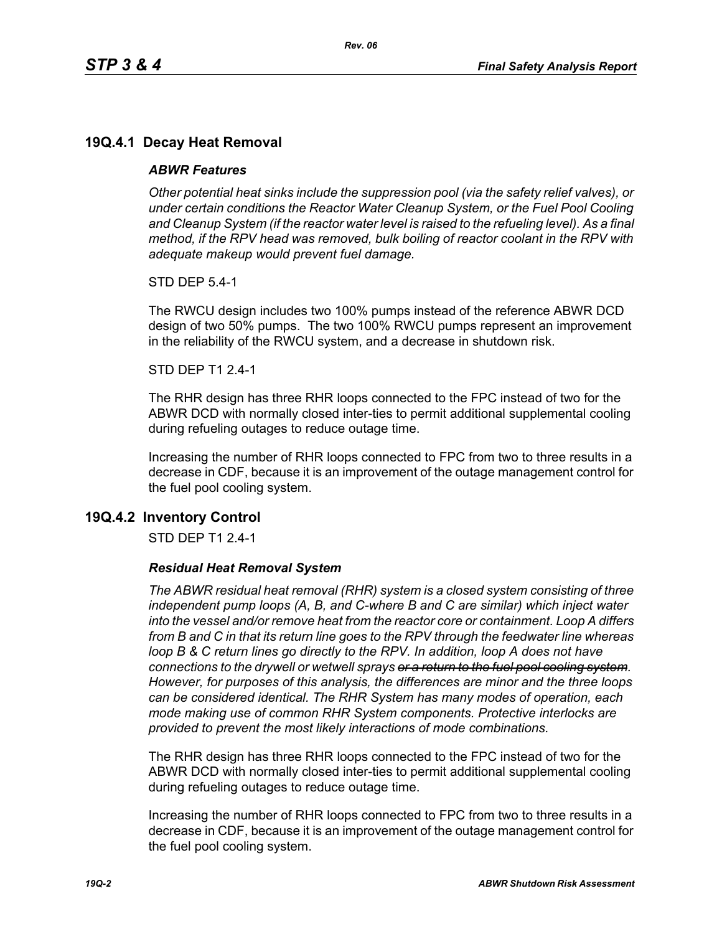# **19Q.4.1 Decay Heat Removal**

### *ABWR Features*

*Other potential heat sinks include the suppression pool (via the safety relief valves), or under certain conditions the Reactor Water Cleanup System, or the Fuel Pool Cooling*  and Cleanup System (if the reactor water level is raised to the refueling level). As a final *method, if the RPV head was removed, bulk boiling of reactor coolant in the RPV with adequate makeup would prevent fuel damage.*

STD DEP 5.4-1

The RWCU design includes two 100% pumps instead of the reference ABWR DCD design of two 50% pumps. The two 100% RWCU pumps represent an improvement in the reliability of the RWCU system, and a decrease in shutdown risk.

#### STD DEP T1 2.4-1

The RHR design has three RHR loops connected to the FPC instead of two for the ABWR DCD with normally closed inter-ties to permit additional supplemental cooling during refueling outages to reduce outage time.

Increasing the number of RHR loops connected to FPC from two to three results in a decrease in CDF, because it is an improvement of the outage management control for the fuel pool cooling system.

## **19Q.4.2 Inventory Control**

STD DEP T1 2.4-1

#### *Residual Heat Removal System*

*The ABWR residual heat removal (RHR) system is a closed system consisting of three independent pump loops (A, B, and C-where B and C are similar) which inject water into the vessel and/or remove heat from the reactor core or containment. Loop A differs from B and C in that its return line goes to the RPV through the feedwater line whereas loop B & C return lines go directly to the RPV. In addition, loop A does not have connections to the drywell or wetwell sprays or a return to the fuel pool cooling system. However, for purposes of this analysis, the differences are minor and the three loops can be considered identical. The RHR System has many modes of operation, each mode making use of common RHR System components. Protective interlocks are provided to prevent the most likely interactions of mode combinations.*

The RHR design has three RHR loops connected to the FPC instead of two for the ABWR DCD with normally closed inter-ties to permit additional supplemental cooling during refueling outages to reduce outage time.

Increasing the number of RHR loops connected to FPC from two to three results in a decrease in CDF, because it is an improvement of the outage management control for the fuel pool cooling system.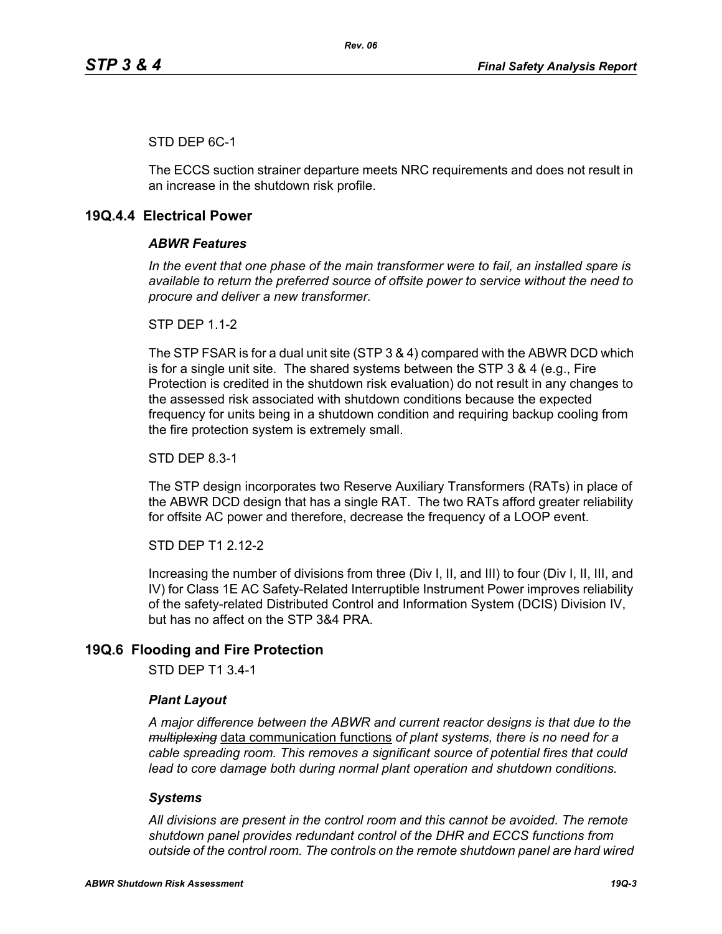## STD DEP 6C-1

The ECCS suction strainer departure meets NRC requirements and does not result in an increase in the shutdown risk profile.

# **19Q.4.4 Electrical Power**

#### *ABWR Features*

*In the event that one phase of the main transformer were to fail, an installed spare is available to return the preferred source of offsite power to service without the need to procure and deliver a new transformer.*

**STP DFP 1 1-2** 

The STP FSAR is for a dual unit site (STP 3 & 4) compared with the ABWR DCD which is for a single unit site. The shared systems between the STP 3 & 4 (e.g., Fire Protection is credited in the shutdown risk evaluation) do not result in any changes to the assessed risk associated with shutdown conditions because the expected frequency for units being in a shutdown condition and requiring backup cooling from the fire protection system is extremely small.

STD DEP 8.3-1

The STP design incorporates two Reserve Auxiliary Transformers (RATs) in place of the ABWR DCD design that has a single RAT. The two RATs afford greater reliability for offsite AC power and therefore, decrease the frequency of a LOOP event.

STD DEP T1 2.12-2

Increasing the number of divisions from three (Div I, II, and III) to four (Div I, II, III, and IV) for Class 1E AC Safety-Related Interruptible Instrument Power improves reliability of the safety-related Distributed Control and Information System (DCIS) Division IV, but has no affect on the STP 3&4 PRA.

# **19Q.6 Flooding and Fire Protection**

STD DEP T1 3.4-1

#### *Plant Layout*

*A major difference between the ABWR and current reactor designs is that due to the multiplexing* data communication functions *of plant systems, there is no need for a cable spreading room. This removes a significant source of potential fires that could lead to core damage both during normal plant operation and shutdown conditions.*

### *Systems*

*All divisions are present in the control room and this cannot be avoided. The remote shutdown panel provides redundant control of the DHR and ECCS functions from outside of the control room. The controls on the remote shutdown panel are hard wired*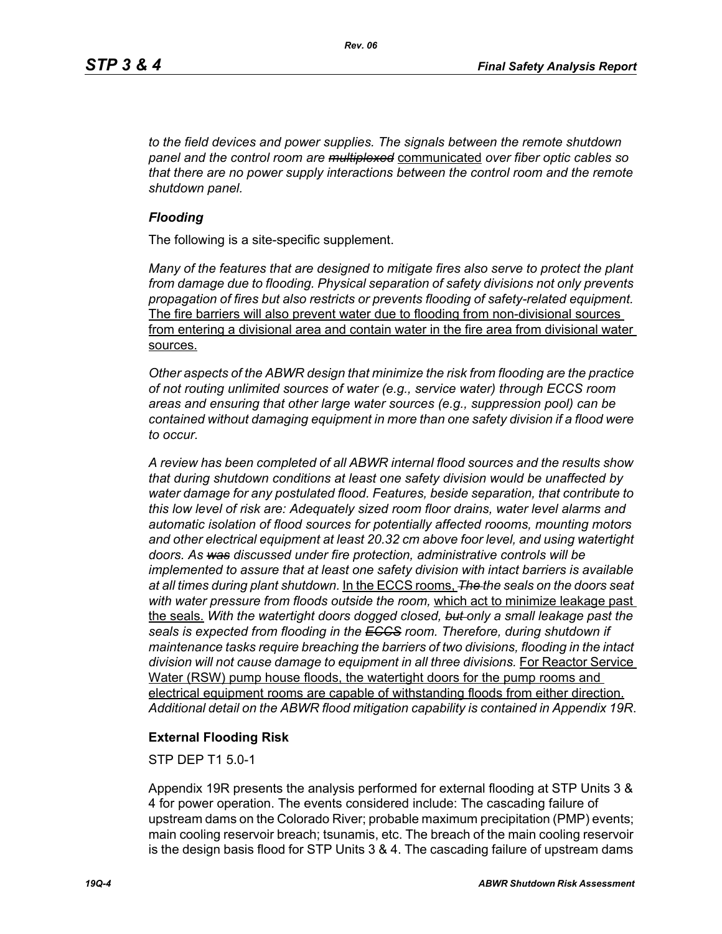*to the field devices and power supplies. The signals between the remote shutdown panel and the control room are multiplexed* communicated *over fiber optic cables so that there are no power supply interactions between the control room and the remote shutdown panel.*

### *Flooding*

The following is a site-specific supplement.

*Many of the features that are designed to mitigate fires also serve to protect the plant from damage due to flooding. Physical separation of safety divisions not only prevents propagation of fires but also restricts or prevents flooding of safety-related equipment.*  The fire barriers will also prevent water due to flooding from non-divisional sources from entering a divisional area and contain water in the fire area from divisional water sources.

*Other aspects of the ABWR design that minimize the risk from flooding are the practice of not routing unlimited sources of water (e.g., service water) through ECCS room areas and ensuring that other large water sources (e.g., suppression pool) can be contained without damaging equipment in more than one safety division if a flood were to occur.*

*A review has been completed of all ABWR internal flood sources and the results show that during shutdown conditions at least one safety division would be unaffected by water damage for any postulated flood. Features, beside separation, that contribute to this low level of risk are: Adequately sized room floor drains, water level alarms and automatic isolation of flood sources for potentially affected roooms, mounting motors and other electrical equipment at least 20.32 cm above foor level, and using watertight doors. As was discussed under fire protection, administrative controls will be implemented to assure that at least one safety division with intact barriers is available at all times during plant shutdown.* In the ECCS rooms, *The the seals on the doors seat with water pressure from floods outside the room,* which act to minimize leakage past the seals. *With the watertight doors dogged closed, but only a small leakage past the seals is expected from flooding in the ECCS room. Therefore, during shutdown if maintenance tasks require breaching the barriers of two divisions, flooding in the intact*  division will not cause damage to equipment in all three divisions. For Reactor Service Water (RSW) pump house floods, the watertight doors for the pump rooms and electrical equipment rooms are capable of withstanding floods from either direction. *Additional detail on the ABWR flood mitigation capability is contained in Appendix 19R*.

## **External Flooding Risk**

STP DEP T1 5.0-1

Appendix 19R presents the analysis performed for external flooding at STP Units 3 & 4 for power operation. The events considered include: The cascading failure of upstream dams on the Colorado River; probable maximum precipitation (PMP) events; main cooling reservoir breach; tsunamis, etc. The breach of the main cooling reservoir is the design basis flood for STP Units 3 & 4. The cascading failure of upstream dams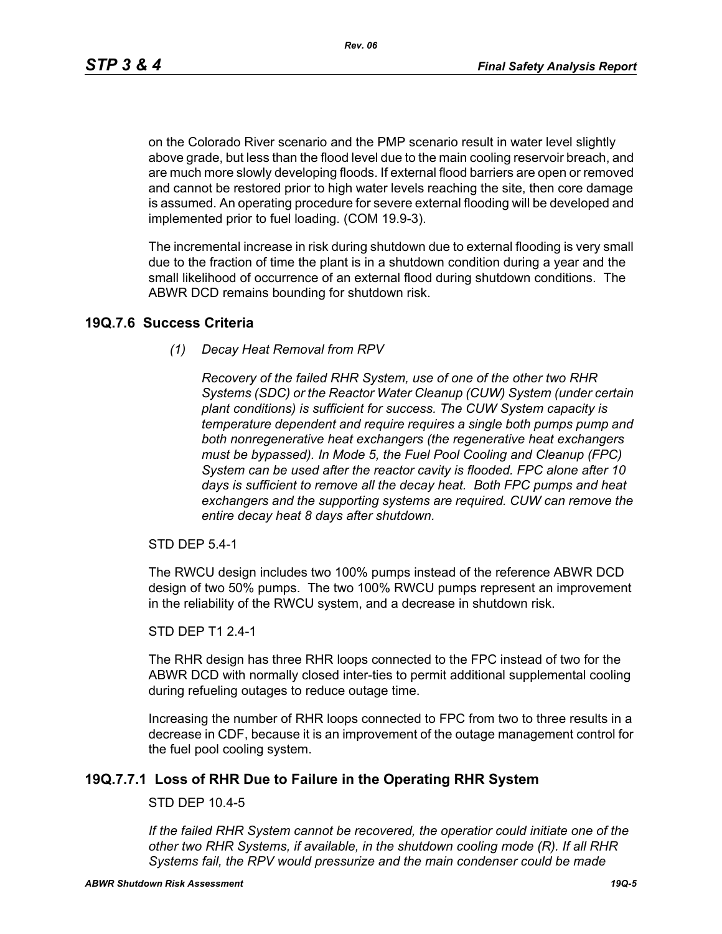*Rev. 06*

on the Colorado River scenario and the PMP scenario result in water level slightly above grade, but less than the flood level due to the main cooling reservoir breach, and are much more slowly developing floods. If external flood barriers are open or removed and cannot be restored prior to high water levels reaching the site, then core damage is assumed. An operating procedure for severe external flooding will be developed and implemented prior to fuel loading. (COM 19.9-3).

The incremental increase in risk during shutdown due to external flooding is very small due to the fraction of time the plant is in a shutdown condition during a year and the small likelihood of occurrence of an external flood during shutdown conditions. The ABWR DCD remains bounding for shutdown risk.

# **19Q.7.6 Success Criteria**

*(1) Decay Heat Removal from RPV*

*Recovery of the failed RHR System, use of one of the other two RHR Systems (SDC) or the Reactor Water Cleanup (CUW) System (under certain plant conditions) is sufficient for success. The CUW System capacity is temperature dependent and require requires a single both pumps pump and both nonregenerative heat exchangers (the regenerative heat exchangers must be bypassed). In Mode 5, the Fuel Pool Cooling and Cleanup (FPC) System can be used after the reactor cavity is flooded. FPC alone after 10 days is sufficient to remove all the decay heat. Both FPC pumps and heat exchangers and the supporting systems are required. CUW can remove the entire decay heat 8 days after shutdown.*

STD DEP 5.4-1

The RWCU design includes two 100% pumps instead of the reference ABWR DCD design of two 50% pumps. The two 100% RWCU pumps represent an improvement in the reliability of the RWCU system, and a decrease in shutdown risk.

#### STD DEP T1 2.4-1

The RHR design has three RHR loops connected to the FPC instead of two for the ABWR DCD with normally closed inter-ties to permit additional supplemental cooling during refueling outages to reduce outage time.

Increasing the number of RHR loops connected to FPC from two to three results in a decrease in CDF, because it is an improvement of the outage management control for the fuel pool cooling system.

# **19Q.7.7.1 Loss of RHR Due to Failure in the Operating RHR System**

## STD DEP 10.4-5

*If the failed RHR System cannot be recovered, the operatior could initiate one of the other two RHR Systems, if available, in the shutdown cooling mode (R). If all RHR Systems fail, the RPV would pressurize and the main condenser could be made*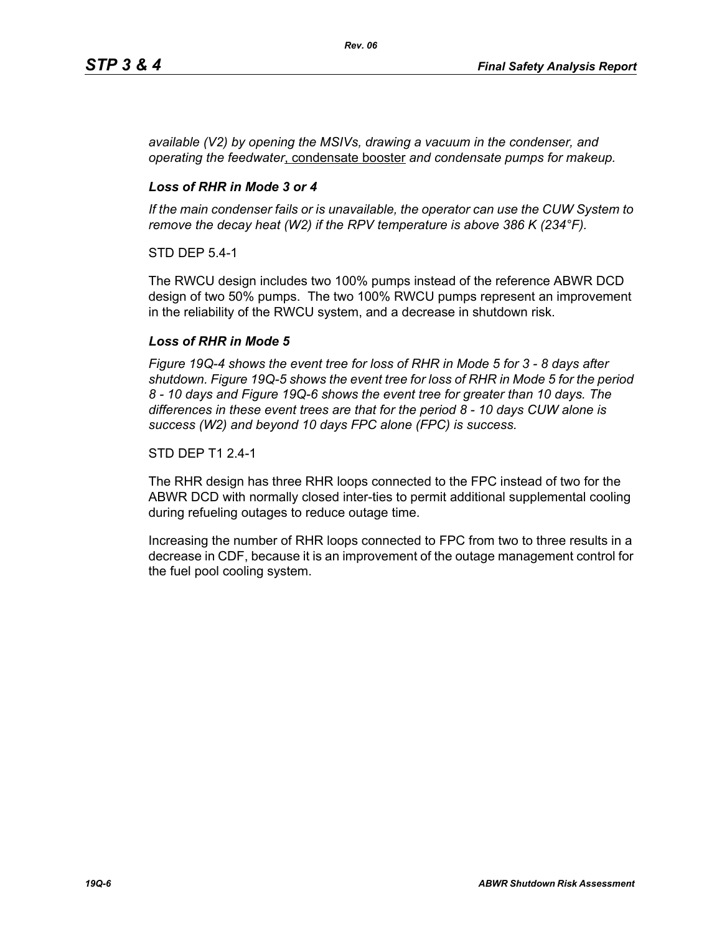*available (V2) by opening the MSIVs, drawing a vacuum in the condenser, and operating the feedwater*, condensate booster *and condensate pumps for makeup.*

## *Loss of RHR in Mode 3 or 4*

*If the main condenser fails or is unavailable, the operator can use the CUW System to remove the decay heat (W2) if the RPV temperature is above 386 K (234°F).*

STD DEP 5.4-1

The RWCU design includes two 100% pumps instead of the reference ABWR DCD design of two 50% pumps. The two 100% RWCU pumps represent an improvement in the reliability of the RWCU system, and a decrease in shutdown risk.

# *Loss of RHR in Mode 5*

*Figure 19Q-4 shows the event tree for loss of RHR in Mode 5 for 3 - 8 days after shutdown. Figure 19Q-5 shows the event tree for loss of RHR in Mode 5 for the period 8 - 10 days and Figure 19Q-6 shows the event tree for greater than 10 days. The differences in these event trees are that for the period 8 - 10 days CUW alone is success (W2) and beyond 10 days FPC alone (FPC) is success.*

### STD DEP T1 2.4-1

The RHR design has three RHR loops connected to the FPC instead of two for the ABWR DCD with normally closed inter-ties to permit additional supplemental cooling during refueling outages to reduce outage time.

Increasing the number of RHR loops connected to FPC from two to three results in a decrease in CDF, because it is an improvement of the outage management control for the fuel pool cooling system.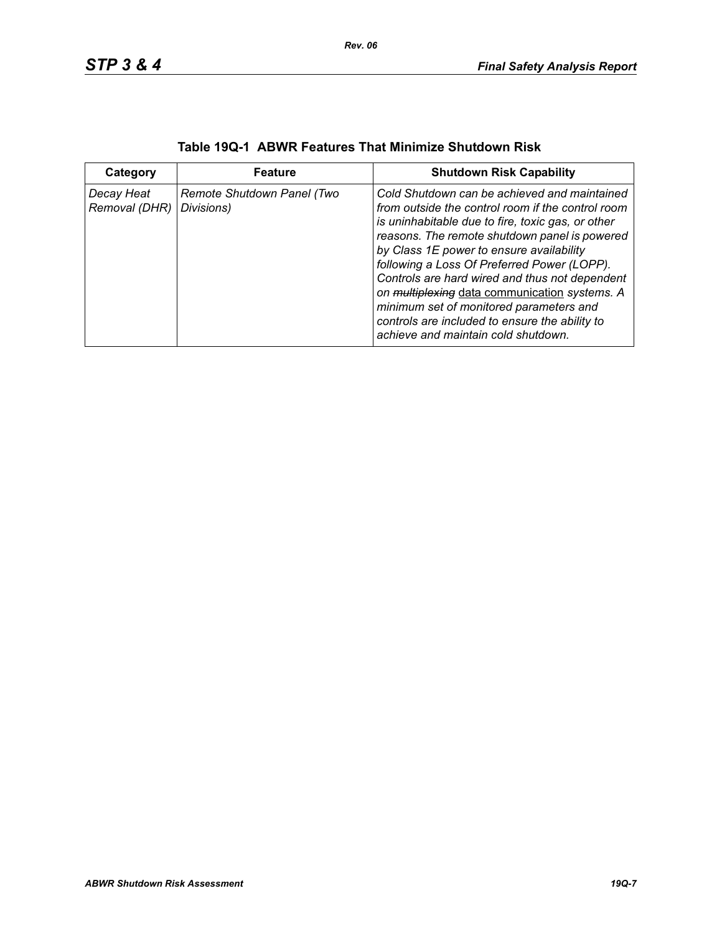| Category                    | <b>Feature</b>                           | <b>Shutdown Risk Capability</b>                                                                                                                                                                                                                                                                                                                                                                                                                                                                                                           |
|-----------------------------|------------------------------------------|-------------------------------------------------------------------------------------------------------------------------------------------------------------------------------------------------------------------------------------------------------------------------------------------------------------------------------------------------------------------------------------------------------------------------------------------------------------------------------------------------------------------------------------------|
| Decay Heat<br>Removal (DHR) | Remote Shutdown Panel (Two<br>Divisions) | Cold Shutdown can be achieved and maintained<br>from outside the control room if the control room<br>is uninhabitable due to fire, toxic gas, or other<br>reasons. The remote shutdown panel is powered<br>by Class 1E power to ensure availability<br>following a Loss Of Preferred Power (LOPP).<br>Controls are hard wired and thus not dependent<br>on multiplexing data communication systems. A<br>minimum set of monitored parameters and<br>controls are included to ensure the ability to<br>achieve and maintain cold shutdown. |

| Table 19Q-1 ABWR Features That Minimize Shutdown Risk |  |  |  |  |  |  |
|-------------------------------------------------------|--|--|--|--|--|--|
|-------------------------------------------------------|--|--|--|--|--|--|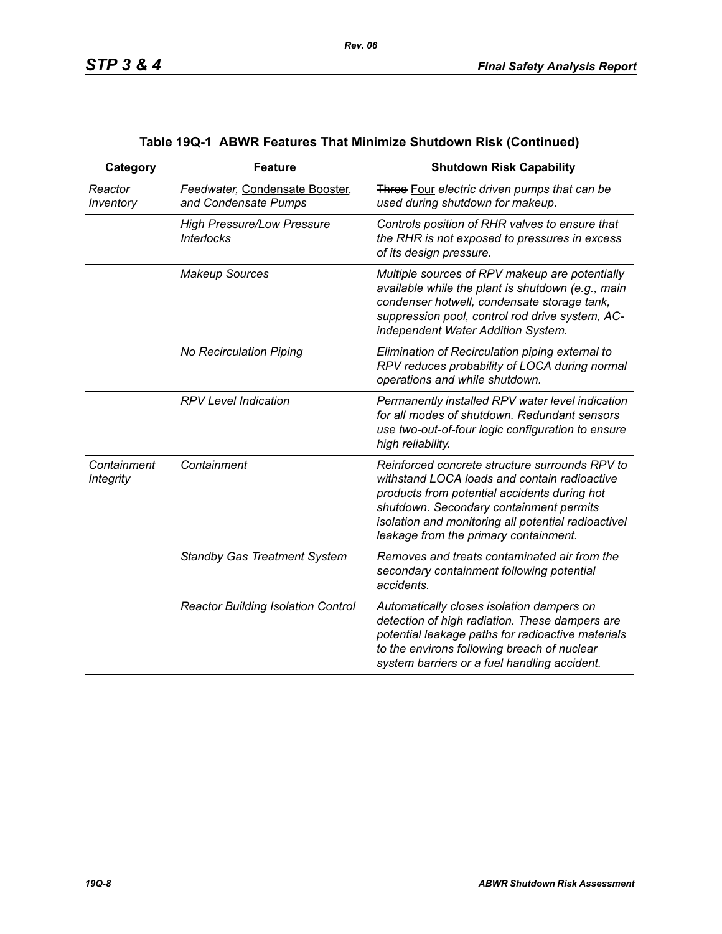| Category                        | <b>Feature</b>                                         | <b>Shutdown Risk Capability</b>                                                                                                                                                                                                                                                           |
|---------------------------------|--------------------------------------------------------|-------------------------------------------------------------------------------------------------------------------------------------------------------------------------------------------------------------------------------------------------------------------------------------------|
| Reactor<br>Inventory            | Feedwater, Condensate Booster,<br>and Condensate Pumps | Three Four electric driven pumps that can be<br>used during shutdown for makeup.                                                                                                                                                                                                          |
|                                 | <b>High Pressure/Low Pressure</b><br><b>Interlocks</b> | Controls position of RHR valves to ensure that<br>the RHR is not exposed to pressures in excess<br>of its design pressure.                                                                                                                                                                |
|                                 | <b>Makeup Sources</b>                                  | Multiple sources of RPV makeup are potentially<br>available while the plant is shutdown (e.g., main<br>condenser hotwell, condensate storage tank,<br>suppression pool, control rod drive system, AC-<br>independent Water Addition System.                                               |
|                                 | No Recirculation Piping                                | Elimination of Recirculation piping external to<br>RPV reduces probability of LOCA during normal<br>operations and while shutdown.                                                                                                                                                        |
|                                 | <b>RPV Level Indication</b>                            | Permanently installed RPV water level indication<br>for all modes of shutdown. Redundant sensors<br>use two-out-of-four logic configuration to ensure<br>high reliability.                                                                                                                |
| Containment<br><b>Integrity</b> | Containment                                            | Reinforced concrete structure surrounds RPV to<br>withstand LOCA loads and contain radioactive<br>products from potential accidents during hot<br>shutdown. Secondary containment permits<br>isolation and monitoring all potential radioactivel<br>leakage from the primary containment. |
|                                 | <b>Standby Gas Treatment System</b>                    | Removes and treats contaminated air from the<br>secondary containment following potential<br>accidents.                                                                                                                                                                                   |
|                                 | <b>Reactor Building Isolation Control</b>              | Automatically closes isolation dampers on<br>detection of high radiation. These dampers are<br>potential leakage paths for radioactive materials<br>to the environs following breach of nuclear<br>system barriers or a fuel handling accident.                                           |

# **Table 19Q-1 ABWR Features That Minimize Shutdown Risk (Continued)**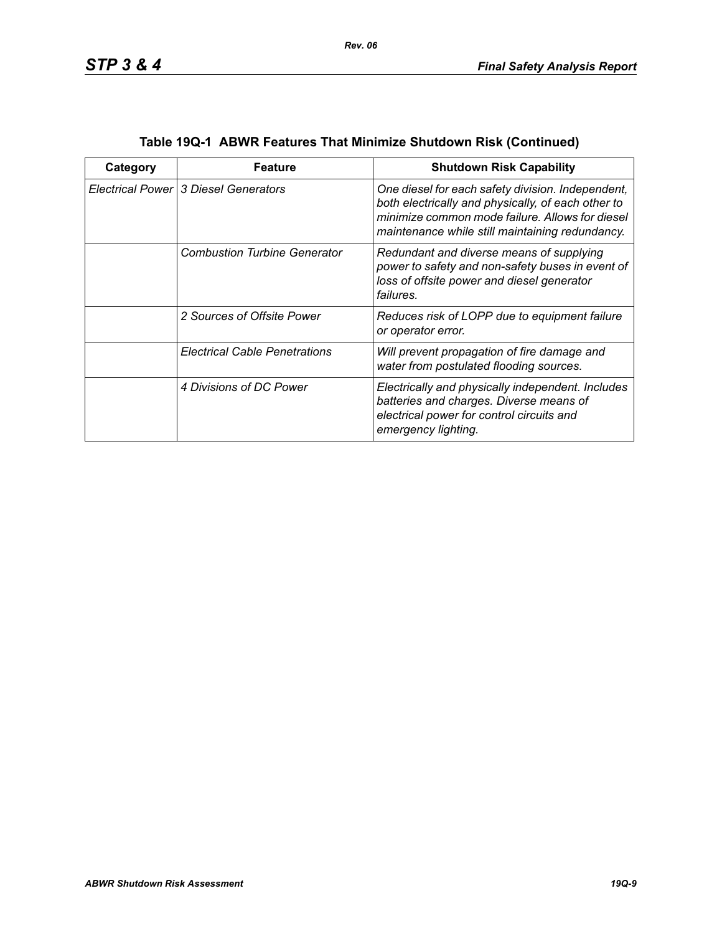| Category | Feature                                | <b>Shutdown Risk Capability</b>                                                                                                                                                                               |
|----------|----------------------------------------|---------------------------------------------------------------------------------------------------------------------------------------------------------------------------------------------------------------|
|          | Electrical Power   3 Diesel Generators | One diesel for each safety division. Independent,<br>both electrically and physically, of each other to<br>minimize common mode failure. Allows for diesel<br>maintenance while still maintaining redundancy. |
|          | <b>Combustion Turbine Generator</b>    | Redundant and diverse means of supplying<br>power to safety and non-safety buses in event of<br>loss of offsite power and diesel generator<br>failures.                                                       |
|          | 2 Sources of Offsite Power             | Reduces risk of LOPP due to equipment failure<br>or operator error.                                                                                                                                           |
|          | <b>Electrical Cable Penetrations</b>   | Will prevent propagation of fire damage and<br>water from postulated flooding sources.                                                                                                                        |
|          | 4 Divisions of DC Power                | Electrically and physically independent. Includes<br>batteries and charges. Diverse means of<br>electrical power for control circuits and<br>emergency lighting.                                              |

| Table 19Q-1 ABWR Features That Minimize Shutdown Risk (Continued) |  |  |
|-------------------------------------------------------------------|--|--|
|                                                                   |  |  |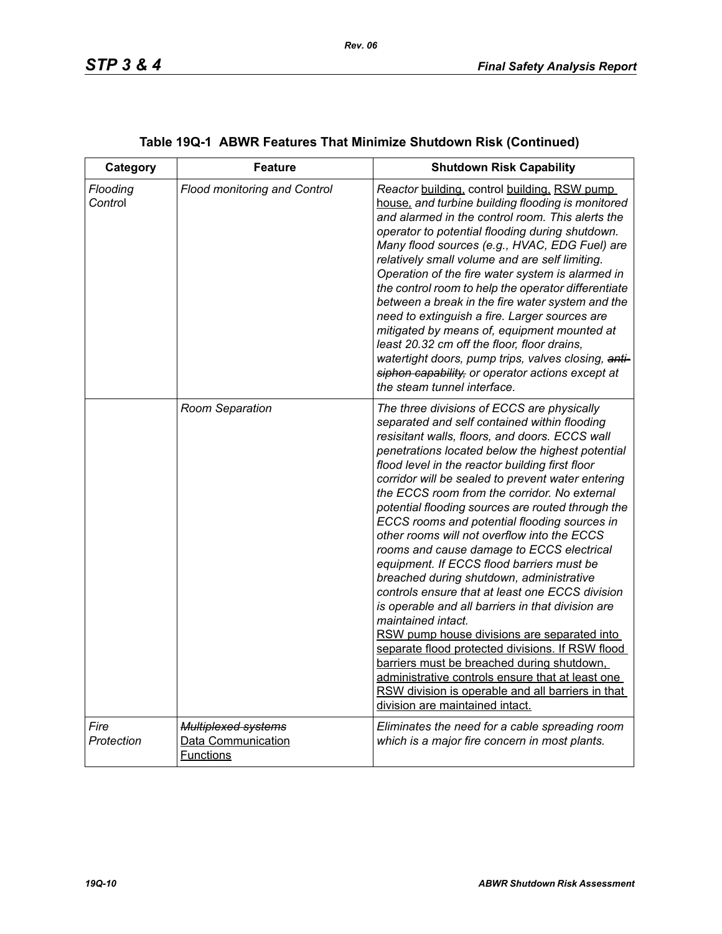| Category            | <b>Feature</b>                                                       | <b>Shutdown Risk Capability</b>                                                                                                                                                                                                                                                                                                                                                                                                                                                                                                                                                                                                                                                                                                                                                                                                                                                                                                                                                                                                                                               |
|---------------------|----------------------------------------------------------------------|-------------------------------------------------------------------------------------------------------------------------------------------------------------------------------------------------------------------------------------------------------------------------------------------------------------------------------------------------------------------------------------------------------------------------------------------------------------------------------------------------------------------------------------------------------------------------------------------------------------------------------------------------------------------------------------------------------------------------------------------------------------------------------------------------------------------------------------------------------------------------------------------------------------------------------------------------------------------------------------------------------------------------------------------------------------------------------|
| Flooding<br>Control | Flood monitoring and Control                                         | Reactor building, control building, RSW pump<br>house, and turbine building flooding is monitored<br>and alarmed in the control room. This alerts the<br>operator to potential flooding during shutdown.<br>Many flood sources (e.g., HVAC, EDG Fuel) are<br>relatively small volume and are self limiting.<br>Operation of the fire water system is alarmed in<br>the control room to help the operator differentiate<br>between a break in the fire water system and the<br>need to extinguish a fire. Larger sources are<br>mitigated by means of, equipment mounted at<br>least 20.32 cm off the floor, floor drains,<br>watertight doors, pump trips, valves closing, anti-<br>siphon capability, or operator actions except at<br>the steam tunnel interface.                                                                                                                                                                                                                                                                                                           |
|                     | Room Separation                                                      | The three divisions of ECCS are physically<br>separated and self contained within flooding<br>resisitant walls, floors, and doors. ECCS wall<br>penetrations located below the highest potential<br>flood level in the reactor building first floor<br>corridor will be sealed to prevent water entering<br>the ECCS room from the corridor. No external<br>potential flooding sources are routed through the<br>ECCS rooms and potential flooding sources in<br>other rooms will not overflow into the ECCS<br>rooms and cause damage to ECCS electrical<br>equipment. If ECCS flood barriers must be<br>breached during shutdown, administrative<br>controls ensure that at least one ECCS division<br>is operable and all barriers in that division are<br>maintained intact.<br>RSW pump house divisions are separated into<br>separate flood protected divisions. If RSW flood<br>barriers must be breached during shutdown,<br>administrative controls ensure that at least one<br>RSW division is operable and all barriers in that<br>division are maintained intact. |
| Fire<br>Protection  | <b>Multiplexed systems</b><br>Data Communication<br><b>Functions</b> | Eliminates the need for a cable spreading room<br>which is a major fire concern in most plants.                                                                                                                                                                                                                                                                                                                                                                                                                                                                                                                                                                                                                                                                                                                                                                                                                                                                                                                                                                               |

# **Table 19Q-1 ABWR Features That Minimize Shutdown Risk (Continued)**